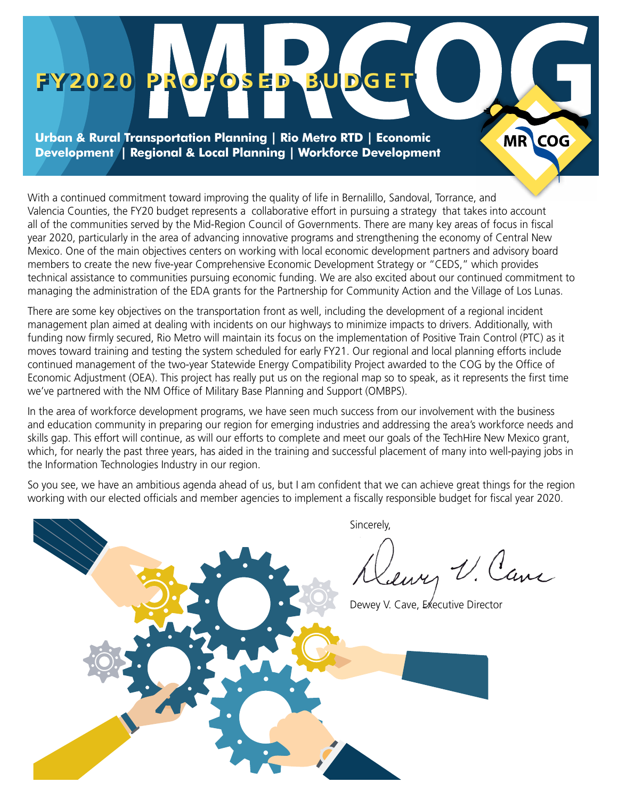# **FY2020 PROPOSED BUDGET FY2020 PROPOSED BUDGET**

**Urban & Rural Transportation Planning | Rio Metro RTD | Economic Development | Regional & Local Planning | Workforce Development**

With a continued commitment toward improving the quality of life in Bernalillo, Sandoval, Torrance, and Valencia Counties, the FY20 budget represents a collaborative effort in pursuing a strategy that takes into account all of the communities served by the Mid-Region Council of Governments. There are many key areas of focus in fiscal year 2020, particularly in the area of advancing innovative programs and strengthening the economy of Central New Mexico. One of the main objectives centers on working with local economic development partners and advisory board members to create the new five-year Comprehensive Economic Development Strategy or "CEDS," which provides technical assistance to communities pursuing economic funding. We are also excited about our continued commitment to managing the administration of the EDA grants for the Partnership for Community Action and the Village of Los Lunas.

MR COG

There are some key objectives on the transportation front as well, including the development of a regional incident management plan aimed at dealing with incidents on our highways to minimize impacts to drivers. Additionally, with funding now firmly secured, Rio Metro will maintain its focus on the implementation of Positive Train Control (PTC) as it moves toward training and testing the system scheduled for early FY21. Our regional and local planning efforts include continued management of the two-year Statewide Energy Compatibility Project awarded to the COG by the Office of Economic Adjustment (OEA). This project has really put us on the regional map so to speak, as it represents the first time we've partnered with the NM Office of Military Base Planning and Support (OMBPS).

In the area of workforce development programs, we have seen much success from our involvement with the business and education community in preparing our region for emerging industries and addressing the area's workforce needs and skills gap. This effort will continue, as will our efforts to complete and meet our goals of the TechHire New Mexico grant, which, for nearly the past three years, has aided in the training and successful placement of many into well-paying jobs in the Information Technologies Industry in our region.

So you see, we have an ambitious agenda ahead of us, but I am confident that we can achieve great things for the region working with our elected officials and member agencies to implement a fiscally responsible budget for fiscal year 2020.

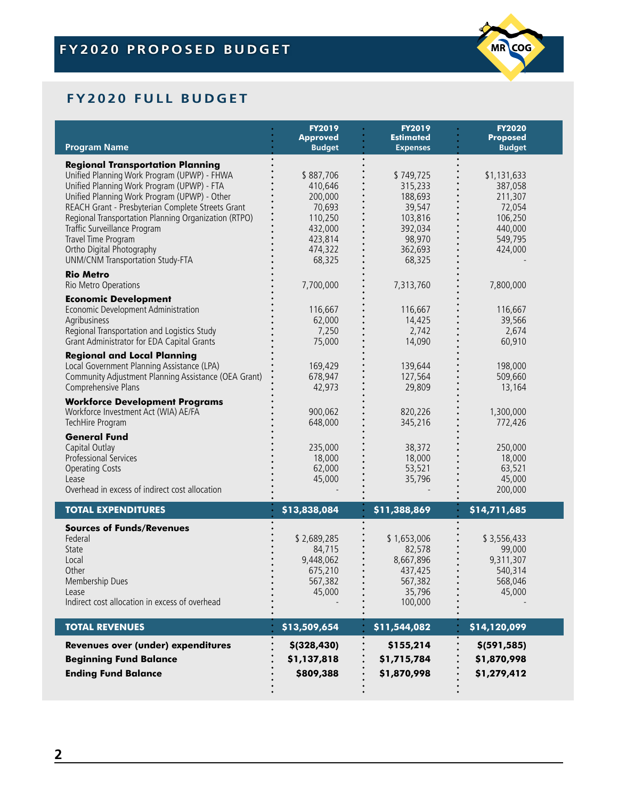

# **FY2020 FULL BUDGET**

|                                                                                                                                                                                                                                                                                                                                                                                                                                  | <b>FY2019</b><br><b>Approved</b>                                                                | <b>FY2019</b><br><b>Estimated</b>                                                              | <b>FY2020</b><br><b>Proposed</b>                                                        |
|----------------------------------------------------------------------------------------------------------------------------------------------------------------------------------------------------------------------------------------------------------------------------------------------------------------------------------------------------------------------------------------------------------------------------------|-------------------------------------------------------------------------------------------------|------------------------------------------------------------------------------------------------|-----------------------------------------------------------------------------------------|
| <b>Program Name</b>                                                                                                                                                                                                                                                                                                                                                                                                              | <b>Budget</b>                                                                                   | <b>Expenses</b>                                                                                | <b>Budget</b>                                                                           |
| <b>Regional Transportation Planning</b><br>Unified Planning Work Program (UPWP) - FHWA<br>Unified Planning Work Program (UPWP) - FTA<br>Unified Planning Work Program (UPWP) - Other<br>REACH Grant - Presbyterian Complete Streets Grant<br>Regional Transportation Planning Organization (RTPO)<br>Traffic Surveillance Program<br>Travel Time Program<br>Ortho Digital Photography<br><b>UNM/CNM Transportation Study-FTA</b> | \$887,706<br>410,646<br>200,000<br>70,693<br>110,250<br>432,000<br>423,814<br>474,322<br>68,325 | \$749,725<br>315,233<br>188,693<br>39,547<br>103,816<br>392,034<br>98,970<br>362,693<br>68,325 | \$1,131,633<br>387,058<br>211,307<br>72,054<br>106,250<br>440,000<br>549,795<br>424,000 |
| <b>Rio Metro</b><br>Rio Metro Operations                                                                                                                                                                                                                                                                                                                                                                                         | 7,700,000                                                                                       | 7,313,760                                                                                      | 7,800,000                                                                               |
| <b>Economic Development</b><br>Economic Development Administration<br>Agribusiness<br>Regional Transportation and Logistics Study<br>Grant Administrator for EDA Capital Grants                                                                                                                                                                                                                                                  | 116,667<br>62,000<br>7,250<br>75,000                                                            | 116,667<br>14,425<br>2,742<br>14,090                                                           | 116,667<br>39,566<br>2,674<br>60,910                                                    |
| <b>Regional and Local Planning</b><br>Local Government Planning Assistance (LPA)<br>Community Adjustment Planning Assistance (OEA Grant)<br>Comprehensive Plans                                                                                                                                                                                                                                                                  | 169,429<br>678,947<br>42,973                                                                    | 139,644<br>127,564<br>29,809                                                                   | 198,000<br>509,660<br>13,164                                                            |
| <b>Workforce Development Programs</b><br>Workforce Investment Act (WIA) AE/FA<br>TechHire Program                                                                                                                                                                                                                                                                                                                                | 900,062<br>648,000                                                                              | 820,226<br>345,216                                                                             | 1,300,000<br>772,426                                                                    |
| <b>General Fund</b><br>Capital Outlay<br>Professional Services<br><b>Operating Costs</b><br>Lease<br>Overhead in excess of indirect cost allocation                                                                                                                                                                                                                                                                              | 235,000<br>18,000<br>62,000<br>45,000                                                           | 38,372<br>18,000<br>53,521<br>35,796                                                           | 250,000<br>18,000<br>63,521<br>45,000<br>200,000                                        |
| <b>TOTAL EXPENDITURES</b>                                                                                                                                                                                                                                                                                                                                                                                                        | \$13,838,084                                                                                    | \$11,388,869                                                                                   | \$14,711,685                                                                            |
| <b>Sources of Funds/Revenues</b><br>Federal<br>State<br>Local<br>Other<br>Membership Dues<br>Lease<br>Indirect cost allocation in excess of overhead                                                                                                                                                                                                                                                                             | \$2,689,285<br>84,715<br>9,448,062<br>675,210<br>567,382<br>45,000                              | \$1,653,006<br>82,578<br>8,667,896<br>437,425<br>567,382<br>35,796<br>100,000                  | \$3,556,433<br>99,000<br>9,311,307<br>540,314<br>568,046<br>45,000                      |
| <b>TOTAL REVENUES</b>                                                                                                                                                                                                                                                                                                                                                                                                            | \$13,509,654                                                                                    | \$11,544,082                                                                                   | \$14,120,099                                                                            |
| Revenues over (under) expenditures<br><b>Beginning Fund Balance</b><br><b>Ending Fund Balance</b>                                                                                                                                                                                                                                                                                                                                | \$(328, 430)<br>\$1,137,818<br>\$809,388                                                        | \$155,214<br>\$1,715,784<br>\$1,870,998                                                        | \$(591, 585)<br>\$1,870,998<br>\$1,279,412                                              |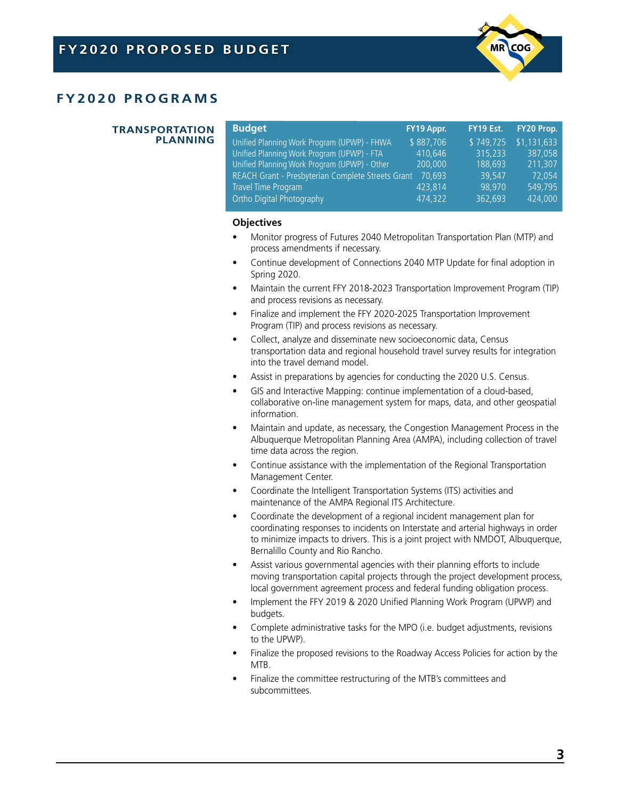

# **FY2020 PROGRAMS**

#### **TRANSPORTATION PLANNING**

| <b>Budget</b>                                     | FY19 Appr. | FY19 Est. | FY20 Prop.  |
|---------------------------------------------------|------------|-----------|-------------|
| Unified Planning Work Program (UPWP) - FHWA       | \$887,706  | \$749,725 | \$1,131,633 |
| Unified Planning Work Program (UPWP) - FTA        | 410,646    | 315,233   | 387.058     |
| Unified Planning Work Program (UPWP) - Other      | 200,000    | 188.693   | 211,307     |
| REACH Grant - Presbyterian Complete Streets Grant | 70,693     | 39.547    | 72.054      |
| Travel Time Program                               | 423,814    | 98.970    | 549,795     |
| Ortho Digital Photography                         | 474,322    | 362,693   | 424,000     |

- Monitor progress of Futures 2040 Metropolitan Transportation Plan (MTP) and process amendments if necessary.
- Continue development of Connections 2040 MTP Update for final adoption in Spring 2020.
- Maintain the current FFY 2018-2023 Transportation Improvement Program (TIP) and process revisions as necessary.
- Finalize and implement the FFY 2020-2025 Transportation Improvement Program (TIP) and process revisions as necessary.
- Collect, analyze and disseminate new socioeconomic data, Census transportation data and regional household travel survey results for integration into the travel demand model.
- Assist in preparations by agencies for conducting the 2020 U.S. Census.
- GIS and Interactive Mapping: continue implementation of a cloud-based, collaborative on-line management system for maps, data, and other geospatial information.
- Maintain and update, as necessary, the Congestion Management Process in the Albuquerque Metropolitan Planning Area (AMPA), including collection of travel time data across the region.
- Continue assistance with the implementation of the Regional Transportation Management Center.
- Coordinate the Intelligent Transportation Systems (ITS) activities and maintenance of the AMPA Regional ITS Architecture.
- Coordinate the development of a regional incident management plan for coordinating responses to incidents on Interstate and arterial highways in order to minimize impacts to drivers. This is a joint project with NMDOT, Albuquerque, Bernalillo County and Rio Rancho.
- Assist various governmental agencies with their planning efforts to include moving transportation capital projects through the project development process, local government agreement process and federal funding obligation process.
- Implement the FFY 2019 & 2020 Unified Planning Work Program (UPWP) and budgets.
- Complete administrative tasks for the MPO (i.e. budget adjustments, revisions to the UPWP).
- Finalize the proposed revisions to the Roadway Access Policies for action by the MTB.
- Finalize the committee restructuring of the MTB's committees and subcommittees.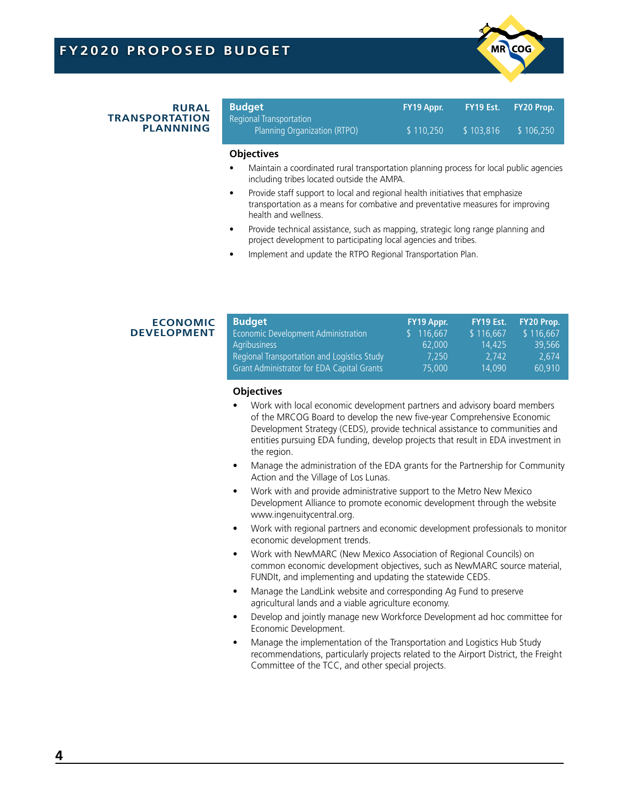

#### **RURAL TRANSPORTATION PLANNNING**

| <b>Budget</b><br>Regional Transportation | FY19 Appr. | LFY19 Est. \ | <b>FY20 Prop.</b> |
|------------------------------------------|------------|--------------|-------------------|
| Planning Organization (RTPO)             | \$110,250  | \$103.816    | \$106,250         |

#### **Objectives**

- Maintain a coordinated rural transportation planning process for local public agencies including tribes located outside the AMPA.
- Provide staff support to local and regional health initiatives that emphasize transportation as a means for combative and preventative measures for improving health and wellness.
- Provide technical assistance, such as mapping, strategic long range planning and project development to participating local agencies and tribes.
- Implement and update the RTPO Regional Transportation Plan.

# **ECONOMIC DEVELOPMENT**

| <b>Budget</b>                                     | FY19 Appr. | FY19 Est. | FY20 Prop. |
|---------------------------------------------------|------------|-----------|------------|
| Economic Development Administration               | 116,667    | \$116,667 | \$116,667  |
| Agribusiness                                      | 62,000     | 14.425    | 39.566     |
| Regional Transportation and Logistics Study       | 7.250      | 2.742     | 2.674      |
| <b>Grant Administrator for EDA Capital Grants</b> | 75,000     | 14.090    | 60.910     |

- Work with local economic development partners and advisory board members of the MRCOG Board to develop the new five-year Comprehensive Economic Development Strategy (CEDS), provide technical assistance to communities and entities pursuing EDA funding, develop projects that result in EDA investment in the region.
- Manage the administration of the EDA grants for the Partnership for Community Action and the Village of Los Lunas.
- Work with and provide administrative support to the Metro New Mexico Development Alliance to promote economic development through the website www.ingenuitycentral.org.
- Work with regional partners and economic development professionals to monitor economic development trends.
- Work with NewMARC (New Mexico Association of Regional Councils) on common economic development objectives, such as NewMARC source material, FUNDIt, and implementing and updating the statewide CEDS.
- Manage the LandLink website and corresponding Ag Fund to preserve agricultural lands and a viable agriculture economy.
- Develop and jointly manage new Workforce Development ad hoc committee for Economic Development.
- Manage the implementation of the Transportation and Logistics Hub Study recommendations, particularly projects related to the Airport District, the Freight Committee of the TCC, and other special projects.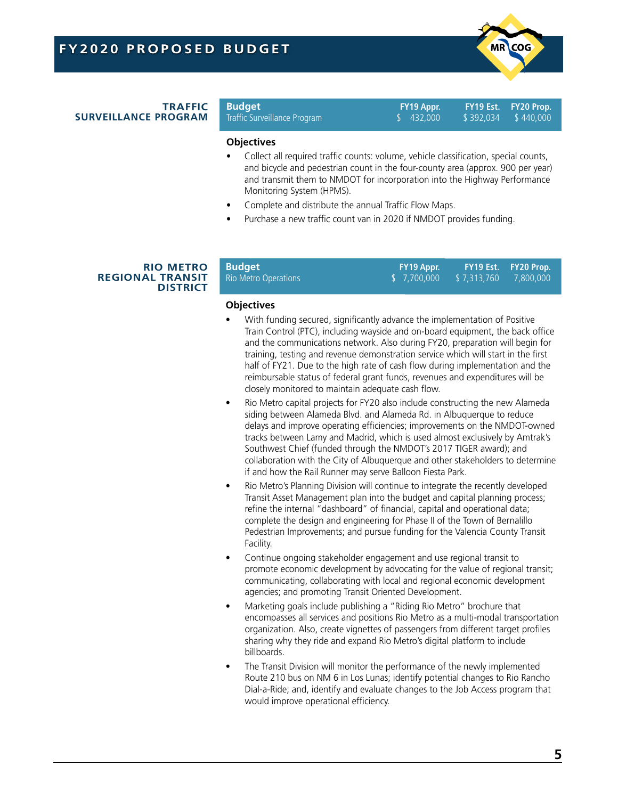

#### **TRAFFIC SURVEILLANCE PROGRAM**

Traffic Surveillance Program

**Budget FY19 Appr. FY19 Est. FY20 Prop.**

### **Objectives**

- Collect all required traffic counts: volume, vehicle classification, special counts, and bicycle and pedestrian count in the four-county area (approx. 900 per year) and transmit them to NMDOT for incorporation into the Highway Performance Monitoring System (HPMS).
- Complete and distribute the annual Traffic Flow Maps.
- Purchase a new traffic count van in 2020 if NMDOT provides funding.

#### **RIO METRO REGIONAL TRANSIT DISTRICT**

| <b>Budget</b>        | FY19 Appr.              | FY19 Est. FY20 Prop. |
|----------------------|-------------------------|----------------------|
| Rio Metro Operations | \$7,700,000 \$7,313,760 | 7.800.000            |

- With funding secured, significantly advance the implementation of Positive Train Control (PTC), including wayside and on-board equipment, the back office and the communications network. Also during FY20, preparation will begin for training, testing and revenue demonstration service which will start in the first half of FY21. Due to the high rate of cash flow during implementation and the reimbursable status of federal grant funds, revenues and expenditures will be closely monitored to maintain adequate cash flow.
- Rio Metro capital projects for FY20 also include constructing the new Alameda siding between Alameda Blvd. and Alameda Rd. in Albuquerque to reduce delays and improve operating efficiencies; improvements on the NMDOT-owned tracks between Lamy and Madrid, which is used almost exclusively by Amtrak's Southwest Chief (funded through the NMDOT's 2017 TIGER award); and collaboration with the City of Albuquerque and other stakeholders to determine if and how the Rail Runner may serve Balloon Fiesta Park.
- Rio Metro's Planning Division will continue to integrate the recently developed Transit Asset Management plan into the budget and capital planning process; refine the internal "dashboard" of financial, capital and operational data; complete the design and engineering for Phase II of the Town of Bernalillo Pedestrian Improvements; and pursue funding for the Valencia County Transit Facility.
- Continue ongoing stakeholder engagement and use regional transit to promote economic development by advocating for the value of regional transit; communicating, collaborating with local and regional economic development agencies; and promoting Transit Oriented Development.
- Marketing goals include publishing a "Riding Rio Metro" brochure that encompasses all services and positions Rio Metro as a multi-modal transportation organization. Also, create vignettes of passengers from different target profiles sharing why they ride and expand Rio Metro's digital platform to include billboards.
- The Transit Division will monitor the performance of the newly implemented Route 210 bus on NM 6 in Los Lunas; identify potential changes to Rio Rancho Dial-a-Ride; and, identify and evaluate changes to the Job Access program that would improve operational efficiency.